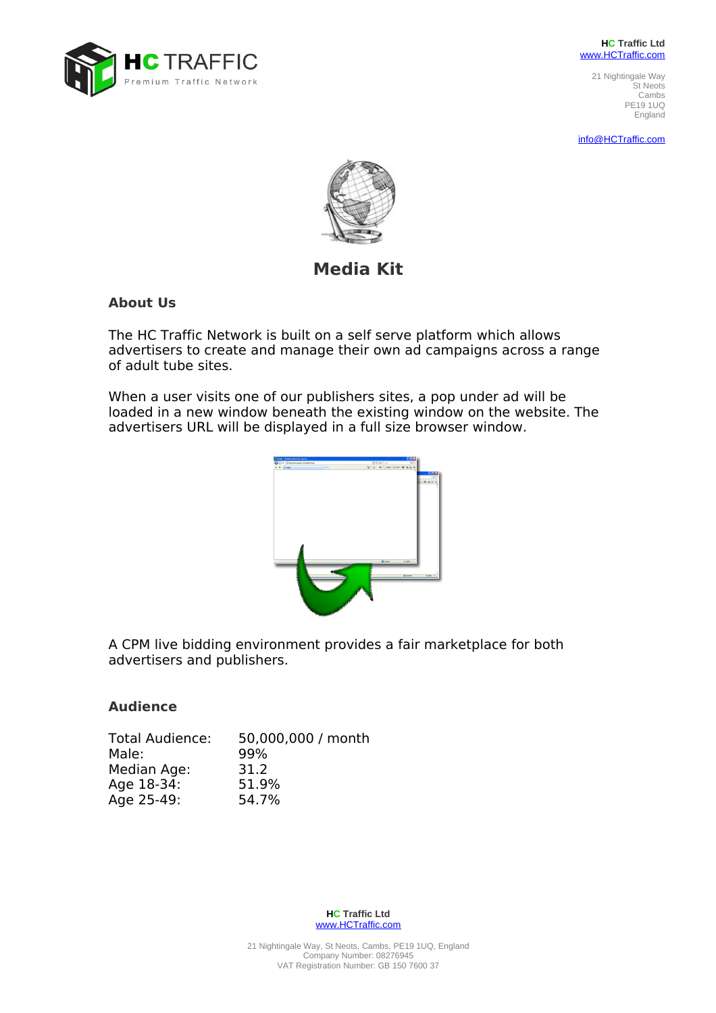

**HC Traffic Ltd** www.HCTraffic.com

> 21 Nightingale Way St Neots Cambs PE19 1UQ England

info@ HCTraffic.com



# **Media Kit**

## **About Us**

The HC Traffic Network is built on a self serve platform which allows advertisers to create and manage their own ad campaigns across a range of adult tube sites.

When a user visits one of our publishers sites, a pop under ad will be loaded in a new window beneath the existing window on the website. The advertisers URL will be displayed in a full size browser window.



A CPM live bidding environment provides a fair marketplace for both advertisers and publishers.

# **Audience**

| <b>Total Audience:</b> | 50,000,000 / month |
|------------------------|--------------------|
| Male:                  | 99%                |
| Median Age:            | 31.2               |
| Age 18-34:             | 51.9%              |
| Age 25-49:             | 54.7%              |

**HC Traffic Ltd** www.HCTraffic.com

21 Nightingale Way, St Neots, Cambs, PE19 1UQ, England Company Number: 08276945 VAT Registration Number: GB 150 7600 37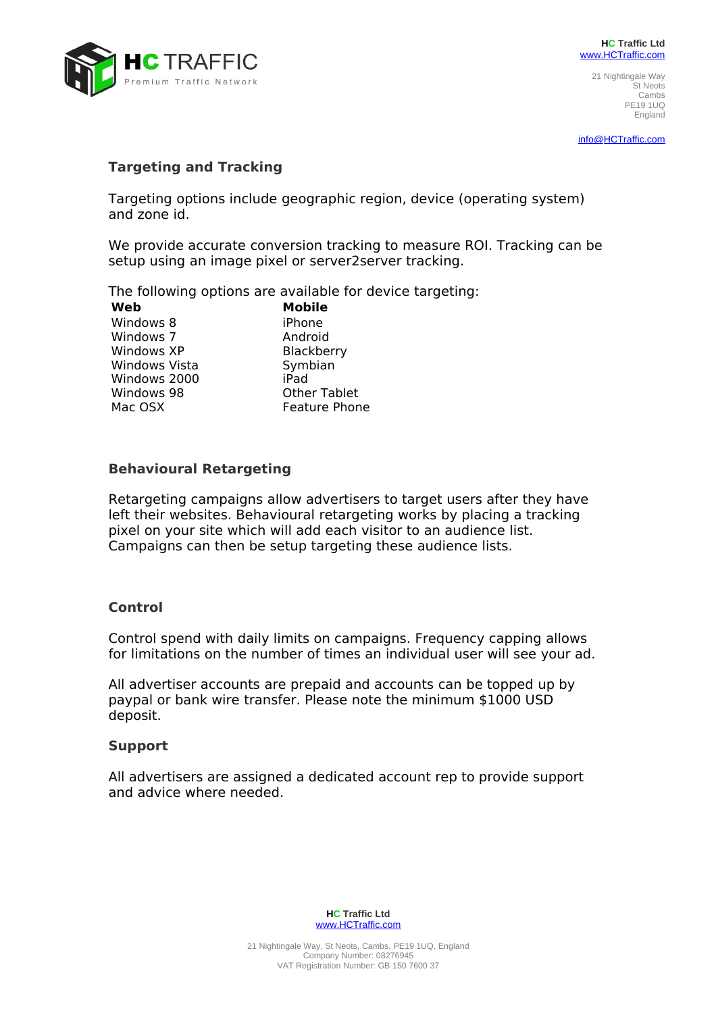

21 Nightingale Way St Neots Cambs PE19 1UQ England

info@ HCTraffic.com

## **Targeting and Tracking**

Targeting options include geographic region, device (operating system) and zone id.

We provide accurate conversion tracking to measure ROI. Tracking can be setup using an image pixel or server2server tracking.

The following options are available for device targeting:

Windows 8 Windows 7 Windows XP Windows Vista Windows 2000 Windows 98 Mac OSX

**Web Mobile** iPhone Android Blackberry Symbian iPad Other Tablet Feature Phone

## **Behavioural Retargeting**

Retargeting campaigns allow advertisers to target users after they have left their websites. Behavioural retargeting works by placing a tracking pixel on your site which will add each visitor to an audience list. Campaigns can then be setup targeting these audience lists.

### **Control**

Control spend with daily limits on campaigns. Frequency capping allows for limitations on the number of times an individual user will see your ad.

All advertiser accounts are prepaid and accounts can be topped up by paypal or bank wire transfer. Please note the minimum \$1000 USD deposit.

#### **Support**

All advertisers are assigned a dedicated account rep to provide support and advice where needed.

> **HC Traffic Ltd** www.HCTraffic.com

21 Nightingale Way, St Neots, Cambs, PE19 1UQ, England Company Number: 08276945 VAT Registration Number: GB 150 7600 37